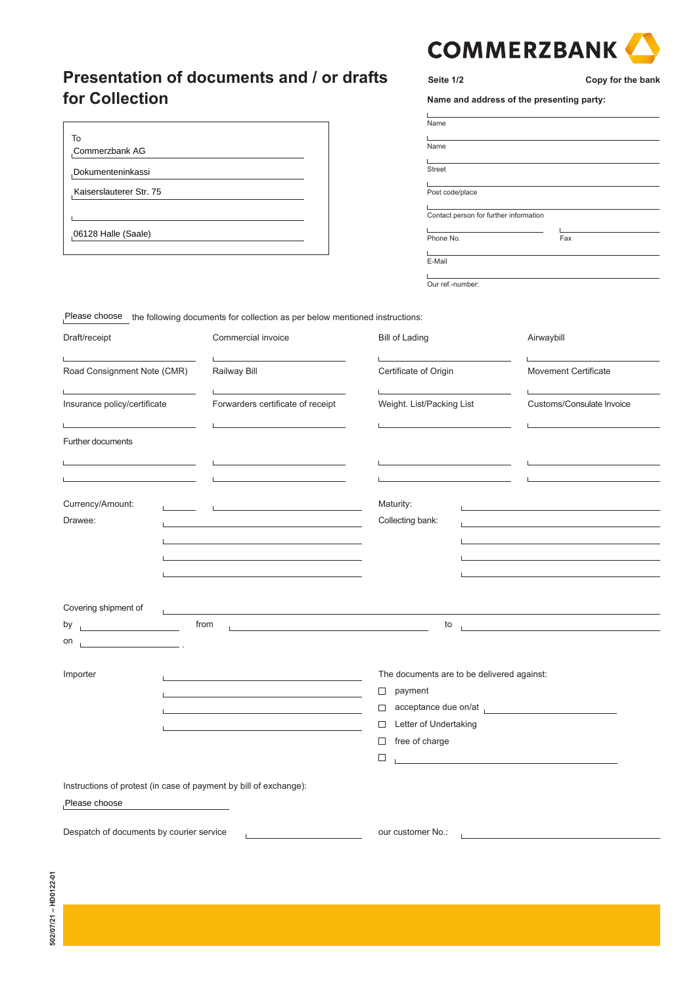

| To                      |  |
|-------------------------|--|
| Commerzbank AG          |  |
| Dokumenteninkassi       |  |
| Kaiserslauterer Str. 75 |  |
|                         |  |
| 06128 Halle (Saale)     |  |
|                         |  |

# **Seite 1/2 Copy for the bank Name and address of the presenting party:** Name Name Street Post code/place Contact person for further information Phone No. Fax

Our ref.-number:

E-Mail

Please choose the following documents for collection as per below mentioned instructions:

| Draft/receipt                                                                                                              |  | Commercial invoice                                                                                                                                                                                                | <b>Bill of Lading</b>                                                                                                                             | Airwaybill                                                                                                                                                    |
|----------------------------------------------------------------------------------------------------------------------------|--|-------------------------------------------------------------------------------------------------------------------------------------------------------------------------------------------------------------------|---------------------------------------------------------------------------------------------------------------------------------------------------|---------------------------------------------------------------------------------------------------------------------------------------------------------------|
| Road Consignment Note (CMR)<br>the control of the control of the control of the control of<br>Insurance policy/certificate |  | Railway Bill<br>the control of the control of the control of the control of the control of<br>Forwarders certificate of receipt                                                                                   | Certificate of Origin                                                                                                                             | <b>Movement Certificate</b>                                                                                                                                   |
|                                                                                                                            |  |                                                                                                                                                                                                                   | The contract of the contract of the contract of the<br>Weight. List/Packing List                                                                  | Customs/Consulate Invoice                                                                                                                                     |
| the contract of the contract of the contract of the contract of the<br>Further documents                                   |  |                                                                                                                                                                                                                   |                                                                                                                                                   |                                                                                                                                                               |
| the control of the control of the control of the                                                                           |  | <u> 1989 - Jan Barbara (j. 1989)</u><br>product the control of the control of the control of the con-                                                                                                             | the contract of the contract of the contract of the contract of the<br>the control of the control of the control of the control of the control of | the control of the control of the control of the control of the control of<br>The contract of the contract of the contract of the contract of the contract of |
| Currency/Amount:                                                                                                           |  |                                                                                                                                                                                                                   | Maturity:                                                                                                                                         |                                                                                                                                                               |
| Drawee:                                                                                                                    |  | the control of the control of the control of the control of the control of the control of<br>the control of the control of the control of the control of the control of                                           | Collecting bank:                                                                                                                                  | the control of the control of the control of the control of the control of                                                                                    |
| Covering shipment of                                                                                                       |  |                                                                                                                                                                                                                   |                                                                                                                                                   |                                                                                                                                                               |
| on<br>The contract of the contract of the contract of                                                                      |  | from $\qquad \qquad$                                                                                                                                                                                              | to                                                                                                                                                | The contract of the contract of the contract of the contract of the contract of                                                                               |
| Importer                                                                                                                   |  | the control of the control of the control of the control of the control of the control of<br><u> 1989 - Johann Stein, marwolaethau a bhann an t-Amhair an t-Amhair an t-Amhair an t-Amhair an t-Amhair an t-A</u> | The documents are to be delivered against:<br>payment<br>$\Box$<br>$\Box$<br>Letter of Undertaking<br>□<br>free of charge<br>$\Box$               | acceptance due on/at                                                                                                                                          |
|                                                                                                                            |  |                                                                                                                                                                                                                   | □                                                                                                                                                 | <u> 1986 - Johann John Stein, fransk kongresu (d. 1986)</u>                                                                                                   |
| Please choose                                                                                                              |  | Instructions of protest (in case of payment by bill of exchange):                                                                                                                                                 |                                                                                                                                                   |                                                                                                                                                               |
|                                                                                                                            |  |                                                                                                                                                                                                                   |                                                                                                                                                   |                                                                                                                                                               |
| Despatch of documents by courier service                                                                                   |  |                                                                                                                                                                                                                   | our customer No.:<br>$\mathbf{1}$                                                                                                                 |                                                                                                                                                               |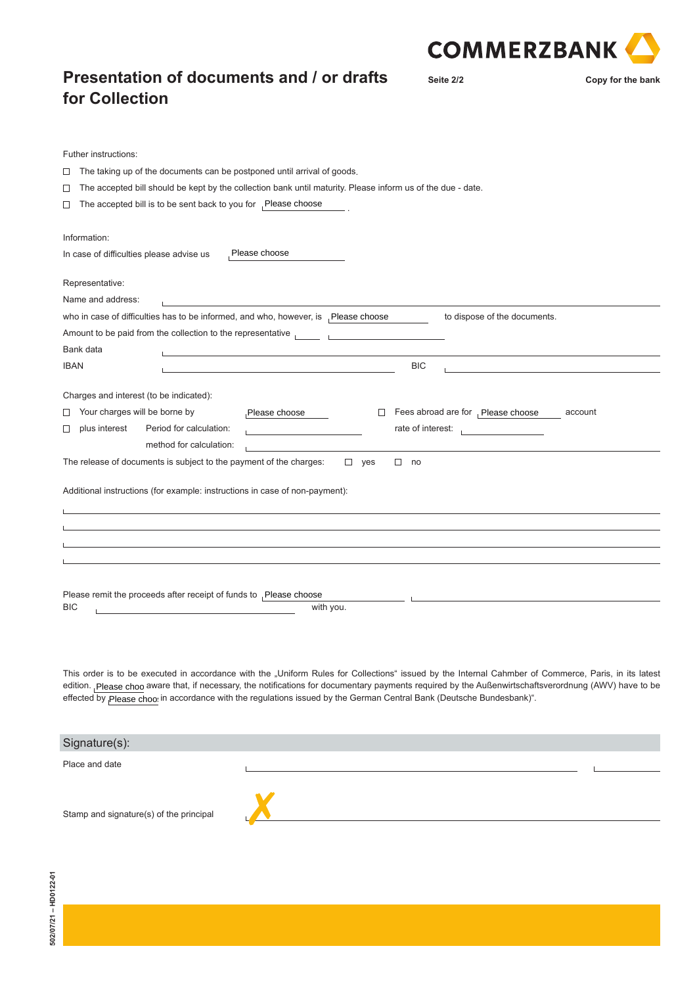

**Seite 2/2 Copy for the bank**

| Futher instructions:                                                                                                                                                                                                                                                                       |
|--------------------------------------------------------------------------------------------------------------------------------------------------------------------------------------------------------------------------------------------------------------------------------------------|
| The taking up of the documents can be postponed until arrival of goods.<br>$\Box$                                                                                                                                                                                                          |
| The accepted bill should be kept by the collection bank until maturity. Please inform us of the due - date.<br>⊔                                                                                                                                                                           |
| The accepted bill is to be sent back to you for Please choose<br>□                                                                                                                                                                                                                         |
|                                                                                                                                                                                                                                                                                            |
| Information:                                                                                                                                                                                                                                                                               |
| Please choose<br>In case of difficulties please advise us                                                                                                                                                                                                                                  |
| Representative:                                                                                                                                                                                                                                                                            |
| Name and address:                                                                                                                                                                                                                                                                          |
| who in case of difficulties has to be informed, and who, however, is, Please choose<br>to dispose of the documents.                                                                                                                                                                        |
| Amount to be paid from the collection to the representative <b>Amount</b> to be paid from the collection to the representative                                                                                                                                                             |
| Bank data                                                                                                                                                                                                                                                                                  |
| <b>BIC</b><br>IBAN                                                                                                                                                                                                                                                                         |
|                                                                                                                                                                                                                                                                                            |
| Charges and interest (to be indicated):                                                                                                                                                                                                                                                    |
| Your charges will be borne by<br>Fees abroad are for Please choose<br>Please choose<br>account<br>$\Box$<br>$\Box$                                                                                                                                                                         |
| plus interest<br>Period for calculation:<br>rate of interest:<br>$\Box$<br>The control of the control of                                                                                                                                                                                   |
| method for calculation:                                                                                                                                                                                                                                                                    |
| The release of documents is subject to the payment of the charges:<br>$\Box$ yes<br>$\Box$ no                                                                                                                                                                                              |
|                                                                                                                                                                                                                                                                                            |
| Additional instructions (for example: instructions in case of non-payment):                                                                                                                                                                                                                |
|                                                                                                                                                                                                                                                                                            |
|                                                                                                                                                                                                                                                                                            |
|                                                                                                                                                                                                                                                                                            |
|                                                                                                                                                                                                                                                                                            |
|                                                                                                                                                                                                                                                                                            |
| Please remit the proceeds after receipt of funds to Please choose                                                                                                                                                                                                                          |
| ВIС<br>with you.<br><u> 1999 - Johann Harry Harry Harry Harry Harry Harry Harry Harry Harry Harry Harry Harry Harry Harry Harry Harry</u>                                                                                                                                                  |
|                                                                                                                                                                                                                                                                                            |
|                                                                                                                                                                                                                                                                                            |
|                                                                                                                                                                                                                                                                                            |
| This order is to be executed in accordance with the "Uniform Rules for Collections" issued by the Internal Cahmber of Commerce, Paris, in its latest                                                                                                                                       |
| edition. <sub>I</sub> Please choo aware that, if necessary, the notifications for documentary payments required by the Außenwirtschaftsverordnung (AWV) have to be<br>effected by Please choo in accordance with the regulations issued by the German Central Bank (Deutsche Bundesbank)". |
|                                                                                                                                                                                                                                                                                            |
|                                                                                                                                                                                                                                                                                            |
| Signature(s):                                                                                                                                                                                                                                                                              |
| Place and date                                                                                                                                                                                                                                                                             |

Stamp and signature(s) of the principal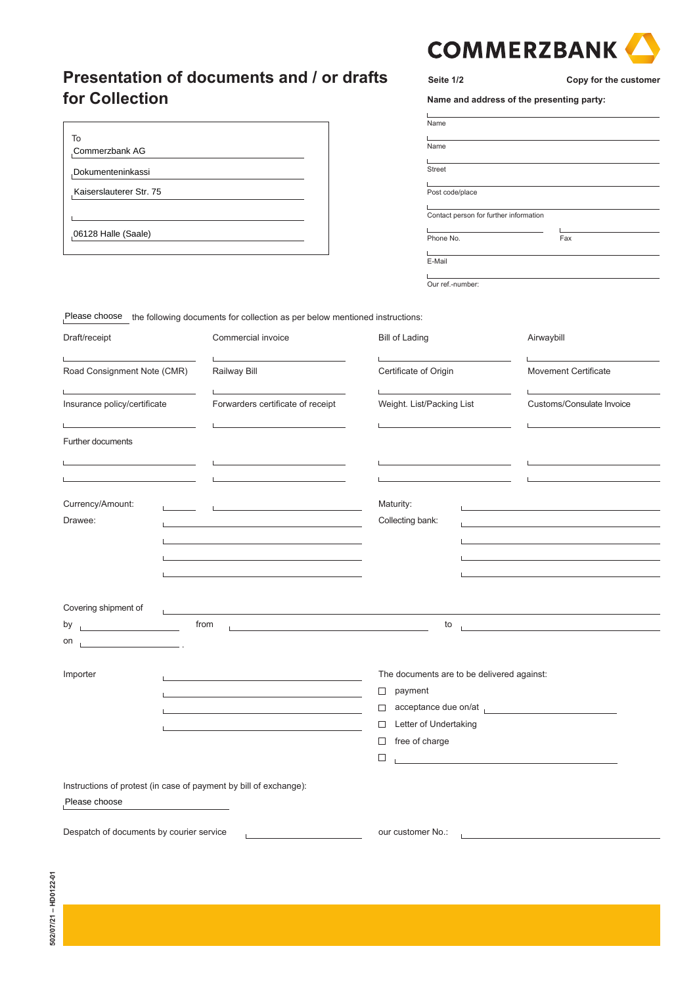

| To                      |  |
|-------------------------|--|
| Commerzbank AG          |  |
| Dokumenteninkassi       |  |
| Kaiserslauterer Str. 75 |  |
|                         |  |
| 06128 Halle (Saale)     |  |
|                         |  |

# **Seite 1/2 Copy for the customer Name and address of the presenting party:** Name Name Street Post code/place Contact person for further information Phone No. Fax E-Mail Our ref.-number:

Please choose the following documents for collection as per below mentioned instructions:

| Draft/receipt<br>Road Consignment Note (CMR)<br>Insurance policy/certificate |  | Commercial invoice                                                                                                                                                                                                                                                                       | <b>Bill of Lading</b>                                                                                                                         | Airwaybill                                                                                                                                                                             |
|------------------------------------------------------------------------------|--|------------------------------------------------------------------------------------------------------------------------------------------------------------------------------------------------------------------------------------------------------------------------------------------|-----------------------------------------------------------------------------------------------------------------------------------------------|----------------------------------------------------------------------------------------------------------------------------------------------------------------------------------------|
|                                                                              |  | Railway Bill<br>Forwarders certificate of receipt                                                                                                                                                                                                                                        | Certificate of Origin                                                                                                                         | <b>Movement Certificate</b>                                                                                                                                                            |
|                                                                              |  |                                                                                                                                                                                                                                                                                          | Weight. List/Packing List                                                                                                                     | Customs/Consulate Invoice                                                                                                                                                              |
| Further documents                                                            |  |                                                                                                                                                                                                                                                                                          |                                                                                                                                               |                                                                                                                                                                                        |
|                                                                              |  | The contract of the contract of the contract of the                                                                                                                                                                                                                                      |                                                                                                                                               |                                                                                                                                                                                        |
| Currency/Amount:<br>Drawee:                                                  |  | <u>and</u> the product of the control of the control of the control of the control of the control of the control of the<br><u> 1989 - Andrea Stadt Britain, amerikansk politik (* 1958)</u><br>the control of the control of the control of the control of the control of the control of | Maturity:<br>Collecting bank:                                                                                                                 | the control of the control of the control of the control of the control of the control of<br>the control of the control of the control of the control of the control of the control of |
| Covering shipment of                                                         |  |                                                                                                                                                                                                                                                                                          |                                                                                                                                               |                                                                                                                                                                                        |
| by<br>on<br>and the contract of the contract of                              |  | from<br>The contract of the contract of the contract of the contract of the contract of                                                                                                                                                                                                  | to                                                                                                                                            | The contract of the contract of the contract of the contract of the contract of                                                                                                        |
| Importer                                                                     |  | the control of the control of the control of the control of the control of<br>the control of the control of the control of the control of the control of the control of<br><u> 1989 - Johann Barbara, martxa al III-lea (h. 1989).</u>                                                   | The documents are to be delivered against:<br>payment<br>$\Box$<br>$\Box$<br>Letter of Undertaking<br>□<br>free of charge<br>$\Box$<br>$\Box$ | acceptance due on/at<br>production and the control of the control of the control of the control of                                                                                     |
| Please choose                                                                |  | Instructions of protest (in case of payment by bill of exchange):                                                                                                                                                                                                                        |                                                                                                                                               |                                                                                                                                                                                        |
| Despatch of documents by courier service                                     |  |                                                                                                                                                                                                                                                                                          | our customer No.:                                                                                                                             |                                                                                                                                                                                        |